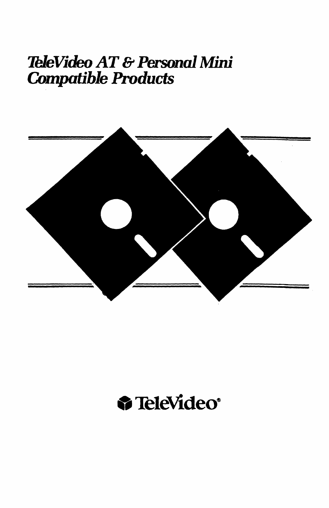# TeleVideo AT & Personal Mini Compatible Products



# &% TeleVideo'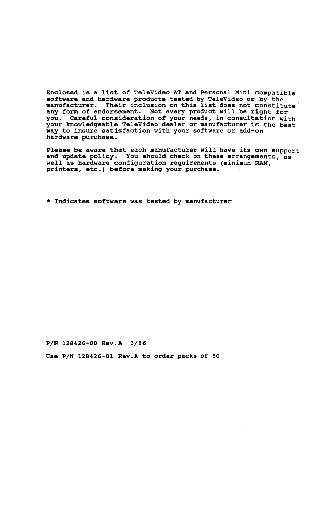Enclosed is a list of TeleVideo AT and Personal Mini compatible software and hardware products tested by TeleVideo or by the<br>manufacturer. Their inclusion on this list does not constitute<br>any form of endorsement. Not every product will be right for<br>you. Careful consideration of your ne your knowledgeable TeleVideo dealer or manufacturer is the best way to insure satisfaction with your software or add-on hardware purchase.

Please be aware that each manufacturer will have its own support and update policy. You should check on these arrangements, as well as hardware configuration requirements (minimum RAM, printers, etc.) before making your purchase. .

\* Indicates software was tested by manufacturer

P/N 128426-00 Rev.A 3/86

Use P/N 128426-01 Rev.A to order packs of 50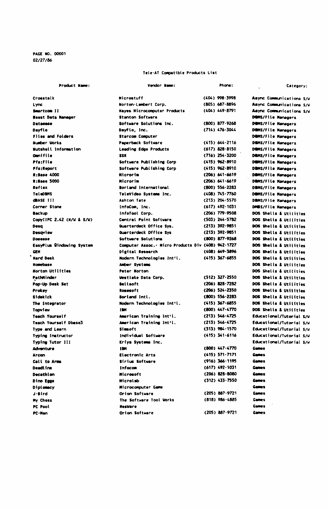PAGE NO. 00001 02/27/86

### Tele-AT Compatible Products List

| Product Name:             | Vendor Name:                                      | Phone:               | Category:                |
|---------------------------|---------------------------------------------------|----------------------|--------------------------|
| Crosstelk                 | Wicrostuff                                        | (404) 998-3998       | Async Communications S/U |
| Lync                      | Norton-Lambert Corp.                              | (805) 687-8896       | Async Communications S/V |
| Smartcom II               | <b>Haves Microcomputer Products</b>               | (404) 449-8791       | Async Communications S/U |
| <b>Beast Data Hanager</b> | <b>Stanton Software</b>                           |                      | DOMS/File Managers       |
| <b>Dataesse</b>           | Software Solutions Inc.                           | (800) 877-9268       | DBMS/File Managers       |
| Davflo                    | DayFio, Inc.                                      | $(714)$ $476 - 3044$ | DBMS/File Managers       |
| Files and Folders         | <b>Starcom Computer</b>                           |                      | DBMS/File Managers       |
| <b>Number Works</b>       | Paperback Software                                | $(415) 644 - 2116$   | DBMS/File Managers       |
| Mutshell Information      | Leading Edge Products                             | (617) 828-8150       | DEMS/File Managers       |
| <b>Omnifile</b>           | <b>SSR</b>                                        | $(716)$ 254 - 3200   | DBMS/File Managers       |
| Pfs:File                  | Software Publishing Corp                          | (415) 962-8910       | DEMS/File Managers       |
| Pfs:Report                | Software Publishing Corp                          | $(415)$ 962-8910     | DBMS/File Managers       |
| <b>R:Base 4000</b>        | Nicroria                                          | (206) 641-6619       | DBMS/File Managers       |
| R:Base 5000               | Microrim                                          | (206) 641-6619       | DBMS/File Managers       |
| Reflex                    | <b>Borland International</b>                      | (800) 556-2283       | DBMS/File Managers       |
| TeleDBMS                  | TeleVideo Systems Inc.                            | (408) 745-7760       | DOMS/File Managers       |
| <b>GBASE 111</b>          | Ashton Tate                                       | (213) 204-5570       | DBMS/File Managers       |
| Corner Stone              | infoCom, inc.                                     | (617) 492-1031       | DMBS/File Managers       |
| Backup                    | InfoTool Corp.                                    | (206) 779-9508       | DOS Shells & Utilities   |
| CopylIPC 2.42 (M/W & S/W) | Central Point Software                            | $(503)$ 244-5782     | DOS Shells & Utilities   |
| Desq                      | Quarterdeck Office Sys.                           | (213) 392-9851       | DOS Shells & Utilities   |
| Desaview                  | Quarterdeck Office Sys                            | (213) 392-9851       | DOS Shells & Utilities   |
| Docesse                   | Software Solutions                                | (800) 877-9268       | DOS Shells & Utilities   |
| EasyPlus Bindowing System | Computer Assoc. Micro Products Div (408) 942-1727 |                      | DOS Shells & Utilities   |
| <b>GEK</b>                | Digital Research                                  | (408) 649-3896       | DOS Shells & Utilities   |
| 'Hard Desk                | Nodern Technologies Int'l.                        | $(415)$ 367-6855     | DOS Shells & Utilities   |
| Homebase                  | Amber Systems                                     |                      | DOS Shells & Utilities   |
| <b>Morton Utilities</b>   | Peter Norton                                      |                      | DOS Shells & Utilities   |
| PathMinder                | Westlake Data Corp.                               | (512) 327-2550       | DOS Shells & Utilities   |
| Pop-Up Desk Set           | <b>Bellsoft</b>                                   | (206) 828-7282       | DOS Shells & Utilities   |
| Prokey                    | <b>Rosesoft</b>                                   | (206) 524-2350       | DOS Shells & Utilities   |
| Sidekick                  | Borland Inti.                                     | (800) 556-2283       | DOS Shells & Utilities   |
| The Integrator            | Nodern Technologies Int'l.                        | $(415)$ 367-6855     | DOS Shells & Utilities   |
| Tooview                   | TER                                               | (800) 447-4770       | DOS Shells & Utilities   |
| <b>Teach Yourself</b>     | American Training Int'i.                          | $(213)$ 546-4725     | Educational/Tutorial S/V |
| Teach Yourself Dbese3     | American Training Int'l.                          | $(213)$ 546-4725     | Educational/Tutorial S/W |
| <b>Type and Learn</b>     | <b>Simsoft</b>                                    | (313) 984-1570       | Educational/Tutorial S/V |
| <b>Typing Instructor</b>  | Individual Software                               | $(415)$ 341-6116     | Educational/Tutorial S/V |
| Typing Tutor 111          | Kriya Systems Inc.                                |                      | Educational/Tutorial S/U |
| <b>Adventure</b>          | <b>TEM</b>                                        | (800) 447-4770       | Games                    |
| Arcen                     | <b>Electronic Arts</b>                            | $(415) 571 - 7171$   | Games                    |
| Call to Arms              | <b>Sirius Software</b>                            | (916) 366 1195       | Games                    |
| Deadline                  | Infocam                                           | (617) 492-1031       | <b>Games</b>             |
| Decathion                 | <b>Nicrosoft</b>                                  | (206) 828-8080       | Games                    |
| Dino Eggs                 | Microlab                                          | (312) 433-7550       | <b>Games</b>             |
| <b>Diplomacy</b>          | <b>Microcomputer Game</b>                         |                      | Games                    |
| J-Bird                    | Orion Software                                    | (205) 887-9721       | <b>Games</b>             |
| My Chess                  | The Software Tool Works                           | (818) 986-4885       | <b>Genes</b>             |
| PC Pool                   | Mesilere                                          |                      | <b>Games</b>             |
| PC-Nan                    | Orion Software                                    | (205) 887-9721       | Games                    |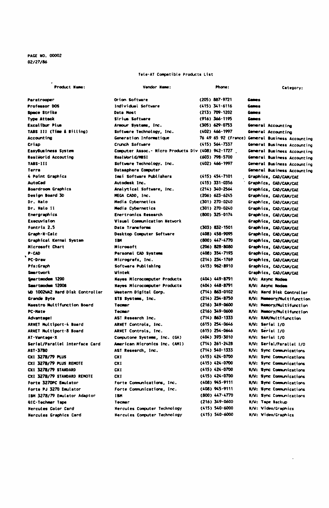PAGE NO. 00002 02/27/86

#### Tele-AT Compatible Products List

| Product Name:                          | Vendor Name:                                      | Phone:              | Category:                                        |
|----------------------------------------|---------------------------------------------------|---------------------|--------------------------------------------------|
| Paratrooper                            | Orion Software                                    | (205) 887-9721      | Games                                            |
| Professor DOS                          | Individual Software                               | $(415)$ 341-6116    | Games                                            |
| Space Strike                           | Data Most                                         | (213) 709-1202      | <b>Gemes</b>                                     |
| <b>Type Attack</b>                     | Sirius Software                                   | (916) 366-1195      | <b>General</b>                                   |
| <b>Excalibur Plus</b>                  | Armour Systems, Inc.                              | (305) 629-0753      | General Accounting                               |
| TABS III (Time & Billing)              | Software Technology, Inc.                         | (402) 466-1997      | General Accounting                               |
| <b>Accounting</b>                      | Generation Informatique                           |                     | 76 49 65 92 (France) General Business Accounting |
| Criso                                  | Crunch Software                                   | $(415) 564 - 7337$  | General Business Accounting                      |
| EasyBusiness System                    | Computer Assoc. Micro Products Div (408) 942-1727 |                     | General Business Accounting                      |
| <b>RealWorld Accouting</b>             | RealWorld/MBSI                                    | (603) 798-5700      | General Business Accounting                      |
| TARS-111                               | Software Technology. Inc.                         | (402) 466-1997      | General Business Accounting                      |
| Terra                                  | Datasphere Computer                               |                     | General Business Accounting                      |
| 4 Point Graphics                       | Imsi Software Publishers                          | $(415) 454 - 7101$  | Graphics, CAD/CAM/CAE                            |
| <b>AutoCad</b>                         | Autodesk Inc.                                     | (415) 331-0356      | Graphics, CAD/CAN/CAE                            |
| <b>Boardroom Graphics</b>              | Analytical Software, Inc.                         | (214) 340-2564      | Graphics, CAD/CAM/CAE                            |
| Design Board 30                        | MEGA CADO, Inc.                                   | $(206) 623 - 6245$  | Graphics, CAD/CAM/CAE                            |
| Dr. Halo                               | Media Cybernetics                                 | (301) 270-0240      | Graphics, CAD/CAM/CAE                            |
| Dr. Halo II                            | Media Cybernetics                                 | (301) 270-0240      | Graphics, CAD/CAM/CAE                            |
| Energraphics                           | <b>Enertronics Research</b>                       | $(800)$ 325 $-0174$ | Graphics, CAD/CAM/CAE                            |
| Execuvision                            | Visual Communication Network                      |                     | Graphics, CAD/CAAUCAE                            |
| Fontrix 2.5                            | Data Transforms                                   | (303) 832-1501      | Graphics, CAD/CAM/CAE                            |
| Graph-N-Calc                           | Desktop Computer Software                         | (408) 458-9095      | Graphics, CAD/CAN/CAE                            |
| Graphical Kernal System                | 1BK                                               | (800) 447-4770      | Graphics, CAD/CAM/CAE                            |
| <b>Nicrosoft Chart</b>                 | Microsoft                                         | (206) 828-8080      | Graphics, CAD/CAM/CAE                            |
| $P - CAD$                              | Personal CAD Systems                              | (408) 354-7193      | Graphics, CAD/CAM/CAE                            |
| <b>PC-Draw</b>                         | Micrografx, Inc.                                  | (214) 234.1769      | Graphics, CAD/CAM/CAE                            |
| Pfs:Grach                              | Software Publishing                               | (415) 962-8910      | Graphics, CAD/CAM/CAE                            |
| <b>Smartuork</b>                       | <b>Uintek</b>                                     |                     | Graphics, CAD/CAM/CAE                            |
| Smartmodem 1200                        | <b>Hayes Microcomputer Products</b>               | (404) 449-8791      | <b>N/W: Async Nodem</b>                          |
| Seartmodes 12008                       | <b>Naves Microcomputer Products</b>               | (404) 448-8791      | <b>N/U: Async Nodem</b>                          |
| <b>WD 1002WA2 Hard Disk Controller</b> | Western Digital Corp.                             | (714) 863-0102      | <b>N/W: Mard Disk Controller</b>                 |
| Grande Byte                            | STB Systems, Inc.                                 | (214) 234-8750      | <b>N/W: Memeory/Nultifunction</b>                |
| Maestro Multifunction Board            | <b>Tecner</b>                                     | (216) 349-0600      | <b>K/W: Memory/Multifunction</b>                 |
| PC-Mate                                | Tecnor                                            | (216) 349-0600      | <b>K/W: Memory/Multifunction</b>                 |
| <b>Adventuge!</b>                      | AST Research Inc.                                 | (714) 863-1333      | H/W: RAM/Hultifunction                           |
| ARNET Multiport-4 Board                | ARNET Controls, Inc.                              | (615) 254-0646      | <b>M/W: Serial 1/0</b>                           |
| ARNET Multiport-8 Board                | ARNET Controls, Inc.                              | (615) 254-0646      | N/W: Serial 1/0                                  |
| AT-Vantage-X                           | Computone Systems, Inc. (GA)                      | (404) 393-3010      | <b>M/W: Serial I/O</b>                           |
| Serial/Parallel Interface Card         | American Micronics Inc. (AMI)                     | (714) 261-2428      | <b>N/W: Serial/Parattel 1/0</b>                  |
| AST-3780                               | AST Research, Inc.                                | $(714)$ 540-1333    | <b>N/W: Sync Communications</b>                  |
| CXI 3278/79 PLUS                       | CXI                                               | (415) 424-0700      | <b>H/W: Sync Communications</b>                  |
| CXI 3278/79 PLUS REMOTE                | CX1                                               | (415) 424-0700      | M/W: Sync Communications                         |
| CXI 3278/79 STANDARD                   | CXI                                               | (415) 424-0700      | <b>K/W: Sync Communications</b>                  |
| CXI 3278/79 STANDARD REMOTE            | CXI                                               | (415) 424-0700      | M/W: Sync Communications                         |
| Forte 3270PC Emulator                  | Forte Communications, Inc.                        | (408) 945-9111      | M/W: Sync Communications                         |
| Forte PJ 3270 Emulator                 | Forte Communications, Inc.                        | (408) 945-9111      | <b>K/W: Sync Communications</b>                  |
| IBM 3278/79 Emulator Adaptor           | I BH                                              | (800) 447-4770      | M/W: Sync Communications                         |
| <b>QTC-Technor Tape</b>                | Tecnor                                            | (216) 349-0600      | <b>N/W: Tape Backup</b>                          |
| <b>Mercules Color Card</b>             | <b>Nercules Computer Technology</b>               | (415) 540-6000      | <b>W/W: Video/Grachics</b>                       |
| <b>Hercules Graphics Card</b>          | <b>Nercules Computer Technology</b>               | (415) 540-6000      | <b>H/W: Video/Graphics</b>                       |

 $\ddot{\phantom{a}}$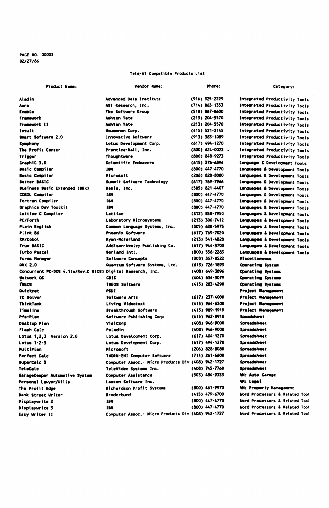### PAGE NO. 00003  $02/27/86$

#### Tele-AT Compatible Products List

| Product Name:                                              | Vendor Name:                                      | Phone:                               | Category:                                                        |
|------------------------------------------------------------|---------------------------------------------------|--------------------------------------|------------------------------------------------------------------|
| Aladin                                                     | Advenced Data Institute                           | (916) 925-2229                       | Integrated Productivity Tools                                    |
| Aura                                                       | AST Research, Inc.                                | (714) 863-1333                       | Integrated Productivity Tools                                    |
| <b>Enable</b>                                              | The Software Group                                | $(518) 887 - 8600$                   | Integrated Productivity Tools                                    |
| Framework                                                  | Ashton Tate                                       | (213) 204-5570                       | Integrated Productivity Tools                                    |
| Framework 11                                               | Aahton Tate                                       | (213) 204-5570                       | Integrated Productivity Tools                                    |
| Intuit                                                     | Noumenon Corp.                                    | $(415) 521 - 2145$                   | Integrated Productivity Tools                                    |
| Smart Software 2.0                                         | <b>Innovative Software</b>                        | (913) 383-1089                       | Integrated Productivity Tools                                    |
| Symphony                                                   | Lotus Development Corp.                           | (617) 494-1270                       | Integrated Productivity Tools                                    |
| The Profit Center                                          | Prentice Hall, Inc.                               | (800) 624-0023                       | Integrated Productivity Tools                                    |
| Trigger                                                    | Thoughtware                                       | (800) 848-9273                       | Integrated Productivity Tools                                    |
| GraphiC 3.0                                                | Scientific Endeavors                              | $(615)$ 376-6394                     | Language & Development Tools                                     |
| Basic Compiler                                             | <b>TEM</b>                                        | (800) 447-4770                       | Languages & Development Tools                                    |
| <b>Basic Compiler</b>                                      | <b>Microsoft</b>                                  | (206) 828-8080                       | Languages & Development Tools                                    |
| Better BASIC                                               | Summit Software Technology                        | (617) 769-7966                       | Languages & Development Tools                                    |
| Business Basic Extended (BBx)                              | Basis, Inc.                                       | (505) 821-4407                       | Languages & Development Tools                                    |
| COBOL Compiler                                             | IM                                                | $(800)$ $447.4770$                   | Languages & Development Tools                                    |
| Fortran Compiler                                           | <b>TER</b>                                        | $(800)$ $447 - 4770$                 | Languages & Development Tools                                    |
| Graphics Dev Toolkit                                       | 188                                               | (800) 447-4770                       | Languages & Development Tools                                    |
| Lattice C Compiler                                         | Lattice                                           | (312) 858-7950                       | Languages & Development Tools                                    |
| <b>PC/Forth</b>                                            | Laboratory Microsystems                           | (213) 306-7412                       | Languages & Development Tools                                    |
| Plain English                                              | Common Language Systems, Inc.                     | (305) 628-5973                       | Languages & Development Tools                                    |
| Plink 86                                                   | Phoenix Software                                  | (617) 769.7020                       | Languages & Development Tools                                    |
| RM/Cobol                                                   | Ryan-NcFarland                                    | $(213)$ 541-4828                     | Languages & Development Tools                                    |
| True BASIC                                                 | Addison-Wesley Publishing Co.                     | (617) 944-3700                       | Languages & Development Tools                                    |
| Turbo Pascal                                               | <b>Borland Intl.</b>                              | (800) 556-2283                       | Languages & Development Tools                                    |
| Forms Manager                                              | Software Concepts                                 | (203) 357-0522                       | Niscel Laneous                                                   |
| <b>ONX 2.0</b>                                             | Quantum Software Systems, Ltd.                    | $(613)$ 726-1893                     | Operating System                                                 |
| Concurrent PC-DOS 4.1(w/Rev.D BIOS) Digital Research, Inc. |                                                   | (408) 649-3896                       | Operating Systems                                                |
| <b>Network OS</b>                                          | CB I S                                            | (404) 634-3079                       | Operating Systems                                                |
| THEOS                                                      | THEOS Software                                    | (415) 283-4290                       | Operating Systems                                                |
| Quicknet                                                   | PSDI                                              |                                      | Project Management                                               |
| TK Solver                                                  | Software Arts                                     | (617) 237-4000                       | Project Management                                               |
| <b>ThinkTank</b>                                           | Living Videotext                                  | (415) 964-6300                       | <b>Project Management</b>                                        |
| <b>Timeline</b>                                            | Breakthrough Software                             | $(415)$ 989-1919                     | Project Management                                               |
| Pfa:Plan                                                   | Software Publishing Corp                          | (415) 962-8910                       | <b>Sceacisheet</b>                                               |
| Desktop Plan                                               | VisiCorp                                          | (408) 946-9000                       | <b>Spreadaheet</b>                                               |
| Flash Calc                                                 | Paladin                                           | (408) 946-9000                       | Spreadsheet                                                      |
| Lotus 1,2,3 Version 2.0                                    | Lotus Development Corp.                           | (617) 404-1270                       | Spreadsheet                                                      |
| Lotus 1-2-3                                                | Lotus Development Corp.                           | (617) 494-1270                       | <b>Spreadsheet</b>                                               |
| HultiPlan                                                  | <b>Microsoft</b>                                  | (206) 828-8080                       | Spreadsheet                                                      |
| Perfect Calc                                               | <b>THORN-EMI Computer Software</b>                | $(714)$ 261-6600                     | Spreadsheet                                                      |
| SuperCalc 3                                                | Computer Assoc. Micro Products Div (408) 942-1727 |                                      | Spreadsheet                                                      |
| TeleCalc                                                   | TeleVideo Systems Inc.                            | (408) 745-7760                       | Spreadsheet                                                      |
|                                                            | Computer Assistance                               | $(503)$ $484 - 9333$                 | <b>WI: Auto Garage</b>                                           |
| GarageKeeper Automotive System                             |                                                   |                                      | <b>Wi: Legal</b>                                                 |
| Personal Lawyer/Wilis                                      | Lassen Software Inc.                              |                                      |                                                                  |
| The Profit Edge                                            | Richardson Profit Systems                         | (800) 461-9970<br>$(415)$ $479.6700$ | <b>WI: Property Hanegement</b>                                   |
| Bank Street Writer                                         | Broderbund                                        |                                      | Mord Processors & Related Tool<br>Word Processors & Related Tool |
| Displayurite 2                                             | <b>IBM</b>                                        | (800) 447-4770                       |                                                                  |
| Displaywrite 3                                             | 1884                                              | (800) 447-4770                       | Word Processors & Related Tool                                   |
| Easy Writer II                                             | Computer Assoc. Micro Products Div (408) 942-1727 |                                      | Word Processors & Related Tool                                   |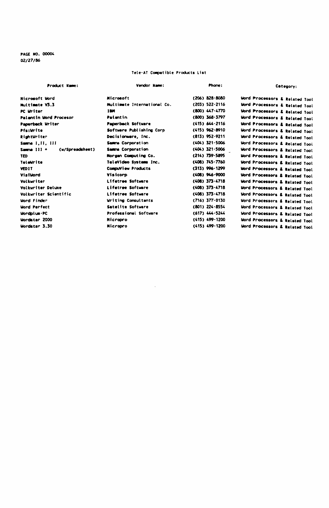PAGE NO. 00004 02/27/86

# Tele-AT Compatible Products List

| <b>Product Name:</b>           | Vendor Name:                | Phone:             | Category:                                 |
|--------------------------------|-----------------------------|--------------------|-------------------------------------------|
| Microsoft Word                 | Microsoft                   | (206) 828-8080     | Word Processors & Related Tool            |
| <b>Nultimete V3.3</b>          | Multimete International Co. | (203) 522-2116     | Word Processors & Related Tool            |
| PC Uniter                      | 1884                        | (800) 447-4770     | Word Processors & Related Tool            |
| Palantin Word Procesor         | Palantin                    | (800) 368-3797     | Word Processors & Related Tool            |
| Paperback Writer               | <b>Paperback Software</b>   | (415) 644-2116     | Word Processors & Related Tool            |
| Pfs:Urite                      | Software Publishing Corp.   | (415) 962-8910     | Word Processors & Related Tool            |
| RightWriter                    | Decisionware, Inc.          | $(813)$ 952-9211   | Word Processors & Related Tool            |
| Samme 1,11, 111                | <b>Same Corporation</b>     | (404) 321-5006     | Word Processors & Related Tool            |
| Samma 111 +<br>(w/Spreadsheet) | Samma Corporation           | (404) 321-5006     | Word Processors & Related Tool            |
| TED                            | Norgan Computing Co.        | (214) 739-5895     | Mord Processors & Related Tool            |
| Teteurite                      | TeleVideo Systems Inc.      | (408) 745-7760     | Word Processors & Related Tool            |
| <b>VED1T</b>                   | Computiew Products          | (313) 996-1299     | Word Processors & Related Tool            |
| Visitiond                      | Visicorp                    | (408) 946-9000     | Mord Processors & Related Tool            |
| Volkuriter                     | Lifetree Software           | (408) 373-4718     | <b>Word Processors &amp; Related Tool</b> |
| Volkuriter Deluxe              | Lifetree Software           | $(408)$ 373-4718   | Word Processors & Related Tool            |
| Volkuriter Scientific          | Lifetree Software           | $(408)$ 373-4718   | Word Processors & Related Tool            |
| Hord Finder                    | Writing Consultants         | $(716) 377 - 0130$ | Word Processors & Related Tool            |
| <b>Word Perfect</b>            | Satelite Software           | (801) 224-8554     | Word Processors & Related Tool            |
| <b>Wordplus-PC</b>             | Professional Software       | $(617)$ 444-5244   | Word Processors & Related Tool            |
| <b>Wordster 2000</b>           | Microoro                    | (415) 499-1200     | Word Processors & Related Tool            |
| <b>Wordster 3.30</b>           | Nicropro                    | (415) 499-1200     |                                           |
|                                |                             |                    | Word Processors & Related Tool            |

 $\sim 10^{-1}$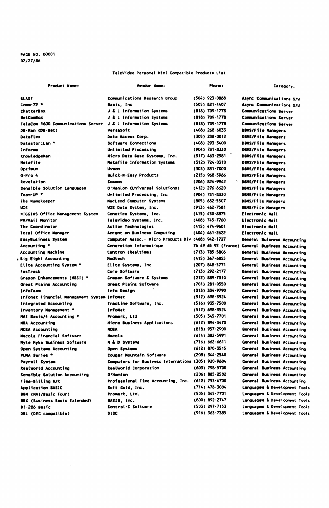PAGE NO. 00001 02/27/86

#### TeleVideo Personal Mini Compatible Products List

| Product Name:                                                | Vendor Name:                                        | Phone:               | Category:                                        |
|--------------------------------------------------------------|-----------------------------------------------------|----------------------|--------------------------------------------------|
| <b>BLAST</b>                                                 | Communications Research Group                       | (504) 923-0888       | Async Communications S/W                         |
| Com. 72                                                      | Sasis, Inc.                                         | (505) 821-4407       | Async Communications S/U                         |
| <b>ChatterBox</b>                                            | <b>J &amp; L Information Systems</b>                | (818) 709.1778       | <b>Communications Server</b>                     |
| <b>NetCombox</b>                                             | J & L Information Systems                           | (818) 709-1778       | Communications Server                            |
| TeleCom 1600 Communications Server J & L Information Systems |                                                     | (818) 709.1778       | <b>Communications Server</b>                     |
| DR-Han (DR-Met)                                              | <b>VersaSoft</b>                                    | $(408)$ 268-6033     | DBMS/File Managers                               |
| <b>DataFlex</b>                                              | Data Access Corp.                                   | $(305)$ $238.0012$   | DBMS/File Managers                               |
| Datastor:Lan *                                               | Software Connections                                | (408) 293-3400       | DBMS/File Managers                               |
| Informa                                                      | Unlimited Processing                                | (904) 731-8330       | <b>DBMS/File Managers</b>                        |
| Knowl edgellan                                               | Micro Data Base Systems, Inc.                       | $(317)$ $463 - 2581$ | DBMS/File Managers                               |
| Metafile                                                     | <b>Metafile Information Systems</b>                 | (312) 724-0310       | DBMS/File Managers                               |
| Opt im.m                                                     | <b>Uveon</b>                                        | (303) 831-7000       | <b>DBMS/File Managers</b>                        |
| $Q-ProA$                                                     | Quick-N-Easy Products                               | (215) 968-5966       | <b>DBMS/File Managers</b>                        |
| Revelation                                                   | Cosmos                                              | (206) 824-9942       | DBMS/File Managers                               |
| Sensible Solution Languages                                  | O'Hanlon (Universal Solutions)                      | (412) 276-6620       | <b>DBMS/File Managers</b>                        |
| Team-UP *                                                    | Unlimited Processing, Inc.                          | (904) 731-8330       | DBMS/File Managers                               |
| The Namekeeper                                               | NacLeod Computer Systems                            | (805) 682-5507       | DBMS/File Managers                               |
| <b>LIDS</b>                                                  | WOS Data System, Inc.                               | (913) 462-7581       | DBMS/File Managers                               |
| NIGGINS Office Management System                             | Conetics Systems, Inc.                              | (415) 430-8875       | Electronic Mail                                  |
| PH/Mail Monitor                                              | TeleVideo Systems, Inc.                             | $(408)$ 745 $-7760$  | Electronic Mail                                  |
| The Coordinator                                              | Action Technologies                                 | $(415) 474 - 9601$   | Electronic Mail                                  |
| <b>Total Office Manager</b>                                  | Accent on Business Computing                        | $(404)$ 461-2622     | Electronic Nail                                  |
| EasyBusiness System                                          | Computer Assoc. - Micro Products Div (408) 942-1727 |                      | General Buisness Accounting                      |
| Accounting *                                                 | Generation Informatique                             |                      | 76 49 65 92 (France) General Business Accounting |
| Accounting Machine                                           | Centron (Realtime)                                  | (713) 785-5806       | General Business Accounting                      |
| , Big Eight Accounting                                       | <b>Noatech</b>                                      | $(415)$ 367-6855     | General Business Accounting                      |
| Elite Accounting System *                                    | Elite Systems, Inc.                                 | (207) 848-5771       | General Business Accounting                      |
| FasTrack                                                     | Core Software                                       | $(713) 292 - 2177$   | General Business Accounting                      |
| Grason Enhancements (MBSI) *                                 | Grason Software & Systems                           | (212) 889-7310       | General Business Accounting                      |
| Great Plains Accounting                                      | Great Plains Software                               | (701) 281-0550       | General Business Accounting                      |
| <b>InfoTesm</b>                                              | Info Design                                         | (313) 334.9790       | General Business Accounting                      |
| Infonet Financial Management System InfoMet                  |                                                     | (512) 698-3524       | General Business Accounting                      |
| Integrated Accounting                                        | TracLine Software, Inc.                             | $(516)$ 935 - 7500   | General Business Accounting                      |
| Inventory Management *                                       | InfoNet                                             | (512) 698-3524       | General Business Accounting                      |
| MAI Basic/4 Accounting *                                     | Promerk, Ltd                                        | $(505)$ 345 $-7701$  | General Business Accounting                      |
| MBA Accounting                                               | Micro Business Applications                         | (612) 894-3470       | General Business Accounting                      |
| <b>MCBA Accounting</b>                                       | <b>NCRA</b>                                         | (818) 957-2900       | General Business Accounting                      |
| Macola Financial Software                                    | Macola                                              | $(614)$ 382-5991     | General Business Accounting                      |
| <b>Nyte Myke Business Software</b>                           | <b>H</b> & D Systems                                | $(716) 662 - 6611$   | General Business Accounting                      |
| Open Systems Accounting                                      | Open Systems                                        | (612) 870.3515       | General Business Accounting                      |
| PUMA Series *                                                | Coupar Mountain Software                            | $(208)$ 344 $-2540$  | General Business Accounting                      |
| Payroll System                                               | Computers for Business Internationa (305) 920-9604  |                      | General Business Accounting                      |
| RealWorld Accounting                                         | RealWorld Corporation                               | (603) 798-5700       | General Business Accounting                      |
| Sensible Solution Accounting                                 | 0'Nanion                                            | (206) 885-2502       | General Business Accounting                      |
| Time-Billing A/R                                             | Professional Time Accounting, Inc. (612) 753-4700   |                      | General Business Accounting                      |
| Application BASIC                                            | Soft Gold, Inc.                                     | $(714) 476 - 3004$   | Languages & Development Tools                    |
| BBM (MAI/Basic Four)                                         | Promerk, Ltd.                                       | (505) 345-7701       | Languages & Development Tools                    |
| BBX (Business Basic Extended)                                | BASIS, Inc.                                         | (800) 892-2747       | Languages & Development Tools                    |
| <b>BI-286 Basic</b>                                          | Control-C Software                                  | (503) 297-7153       | Languages & Development Tools                    |
| DBL (DEC compatible)                                         | <b>DISC</b>                                         | (916) 363-7385       | Languages & Development Tools                    |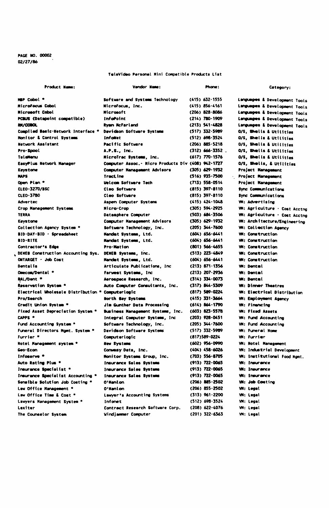## PAGE WO. 00002 02/27/86

### TeleVideo Personal Mini Compatible Products List

| Product Name:                                     | Vendor Name:                                        | Phone:             | Category:                           |
|---------------------------------------------------|-----------------------------------------------------|--------------------|-------------------------------------|
| MEP Cobol *                                       | Software and Systems Technology                     | (415) 632-1555     | Languages & Development Tools       |
| Microfacus Cabol                                  | Microfocus, Inc.                                    | $(415) 856 - 4161$ | Languages & Development Tools       |
| Microsoft Cobol                                   | <b>Microsoft</b>                                    | (206) 828-8086     | Languages & Development Tools       |
| PCBUS (Datapoint compatible)                      | Inforcint                                           | (214) 780-1909     | Languages & Development Tools       |
| <b>BI/COBOL</b>                                   | <b>Ryan NcFarland</b>                               | (213) 541-4828     | Languages & Development Tools       |
| Compiled Basic-Network Interface *                | Davidson Software Systems                           | (517) 332-5989     | O/S. Shells & Utilities             |
| Monitor & Control Systems                         | Infallet                                            | (512) 698-3524     | D/S, Shells & Utilities             |
| <b>Network Assistant</b>                          | Pacific Software                                    | (206) 885-5218     | O/S. Shells & Utilities             |
| Pro-Spool                                         | A.P.S., Inc.                                        | $(312) 666 - 3352$ | O/S. Shells & Utilities             |
| Tel attenu                                        | MicroTrac Systems, Inc.                             | (617) 770-1576     | O/S, Shells & Utilities             |
| EasyPlus Network Manager                          | Computer Assoc. - Nicro Products Div (408) 942-1727 |                    | O/S, Shells, & Utilities            |
| Kevstone                                          | Computer Management Advisors                        | (305) 629-1932     | Project Management                  |
| <b>HAPS</b>                                       | <b>Tractine</b>                                     | (516) 935-7500     | <b>Project Management</b>           |
| Open Plan *                                       | Welcom Software Tech                                | (713) 558-0514     | Project Nanagement                  |
| <b>CLEO-3270/BSC</b>                              | Cleo Software                                       | (815) 397-8110     | <b>Sync Communications</b>          |
| CLEO-3780                                         | Cleo Software                                       | $(815) 397 - 8110$ | Sync Communications                 |
| <b>Adverted</b>                                   | Aspen Computer Systems                              | $(415) 424 - 1048$ | Wi: Advertising                     |
| Crop Management Systems                           | Nicro-Crop                                          | (305) 594-2925     | WH: Agriculture - Cost Acctng       |
| TERRA                                             | Datasphere Computer                                 | (503) 684-3506     | WH: Agriculture - Cost Acctng       |
| Kevstone                                          | Computer Management Advisors                        | (305) 629-1932     | WI: Architecture/Engineering        |
| Collection Agency System *                        | Software Technology, Inc.                           | (205) 344-7600     | <b>Wi: Collection Agency</b>        |
| BID-DAY-BID - Spreadsheet                         | Mendet Systems, Ltd.                                | (604) 656-6441     | <b>WH: Construction</b>             |
| <b>BID-RITE</b>                                   | <b>Handat Systems, Ltd.</b>                         | (604) 656.6441     | <b>WI: Construction</b>             |
| Contractor's Edge                                 | Pro-Mation                                          | $(801)$ 566-4655   | <b>W: Construction</b>              |
| DENEB Construction Accounting Sys.                | DENEB Systems, Inc.                                 | (513) 223-4849     | <b>Wi: Construction</b>             |
| ONTARGET - Job Cost                               | Mandet Systems, Ltd.                                | (604) 656-6441     | <b>W: Construction</b>              |
| <b>Dentalis</b>                                   | Articulate Publications, Inc.                       | (213) 871.1356     | <b>WI: Dental</b>                   |
| Omecom/Dental *                                   | Farwest Systems, Inc.                               | (213) 207-2936     | <b>WI: Dentail</b>                  |
| RAL/Dent *                                        | Aerospace Research, Inc.                            | (314) 334-0073     | <b>WI: Dental</b>                   |
| Reservation System *                              | Auto Computer Consultants, Inc.                     | (317) 844-5309     | <b>W: Dirner Theatres</b>           |
| Electrical Wholesale Distribution * Computerlogic |                                                     | (817) 589-0224     | <b>W: Electrical Distribution</b>   |
| Pro/Search                                        | North Bay Systems                                   | $(415)$ 331-3664   | <b>Wi: Employment Agency</b>        |
| Credit Union System *                             | Jim Gunther Data Processing                         | (614) 864-1790     | <b>W: Financino</b>                 |
| Fixed Asset Depreciation System *                 | Business Hanagement Systems, Inc.                   | (603) 823-5578     | <b>WI: Fixed Assets</b>             |
| <b>CAPPS *</b>                                    | Integral Computer Systems, Inc.                     | (203) 928-0451     | W: Fund Accounting                  |
| Fund Accounting System *                          | Software Technology, Inc.                           | (205) 344-7600     | <b>WI: Fund Accounting</b>          |
| Funeral Directors Mgmt. System *                  | Davidson Software Systems                           | (517) 332-5989     | <b>Wi: Funeral Home</b>             |
| Furrier *                                         | Computerlogic                                       | (817)589-0224      | W: Furrier                          |
| Notel Management system *                         | New Systems                                         | (602) 956-0990     | <b>VM: Notel Management</b>         |
| Geo-Econ                                          | Convesy Data, Inc.                                  | (404) 458-6026     | <b>VM: Industrial Development</b>   |
| Infoserve *                                       | Monitor Systems Group, Inc.                         | (703) 556-8705     | <b>WM: Institutional Food Mamt.</b> |
| Auto Rating Plus *                                | <b>Insurance Sales Systems</b>                      | (913) 722-0065     | Wi: Insurance                       |
| Insurance Specialist *                            | Insurance Sales Systems                             | (913) 722-0065     | <b>Wi: Insurance</b>                |
| Insurance Specialist Accounting *                 | <b>Insurance Sales Systems</b>                      | (913) 722-0065     | <b>WI: Insurance</b>                |
| Sensible Solution Job Costing *                   | 0'Kanlon                                            | (206) 885-2502     | <b>WH: Job Costina</b>              |
| Law Office Management *                           | 0'Nanlon                                            | (206) 855-2502     | <b>W: Legal</b>                     |
| Law Office Time & Cost "                          | Lawyer's Accounting Systems                         | $(313)$ 961-2200   | <b>WI: Legal</b>                    |
| Lawyers Management System *                       | Infonet                                             | (512) 698-3524     | VM: Legal                           |
| Lexiter                                           | Contract Research Software Corp.                    | $(208) 622 - 4076$ | VM: Legal                           |
| The Counselor System                              | Windjammer Computer                                 | (201) 322-6363     | VM: Legal                           |